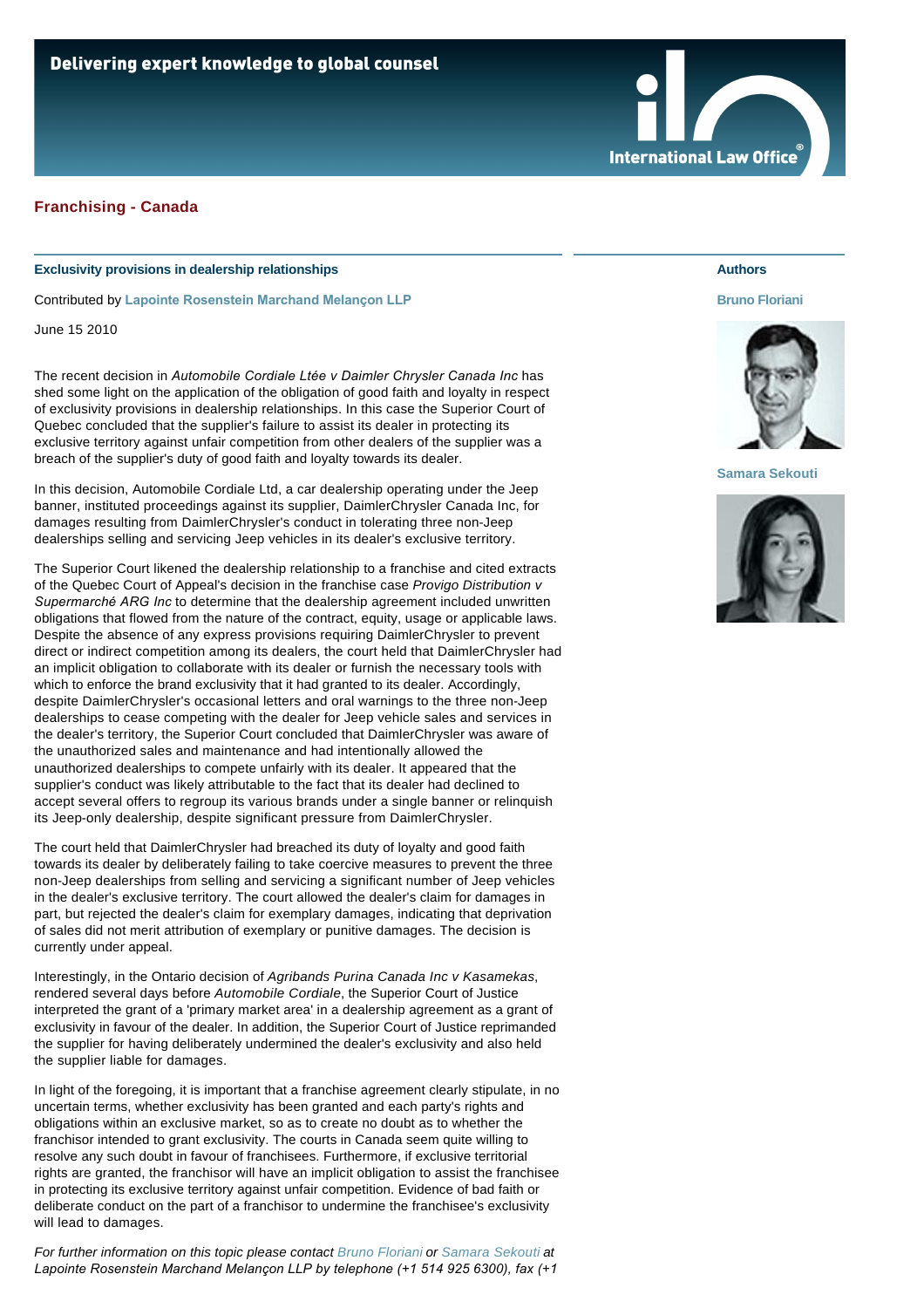

## **Exclusivity provisions in dealership relationships**

Contributed by **[Lapointe Rosenstein Marchand Melançon LLP](http://www.internationallawoffice.com/gesr.ashx?l=7DVHW75)**

June 15 2010

The recent decision in *Automobile Cordiale Ltée v Daimler Chrysler Canada Inc* has shed some light on the application of the obligation of good faith and loyalty in respect of exclusivity provisions in dealership relationships. In this case the Superior Court of Quebec concluded that the supplier's failure to assist its dealer in protecting its exclusive territory against unfair competition from other dealers of the supplier was a breach of the supplier's duty of good faith and loyalty towards its dealer.

In this decision, Automobile Cordiale Ltd, a car dealership operating under the Jeep banner, instituted proceedings against its supplier, DaimlerChrysler Canada Inc, for damages resulting from DaimlerChrysler's conduct in tolerating three non-Jeep dealerships selling and servicing Jeep vehicles in its dealer's exclusive territory.

The Superior Court likened the dealership relationship to a franchise and cited extracts of the Quebec Court of Appeal's decision in the franchise case *Provigo Distribution v Supermarché ARG Inc* to determine that the dealership agreement included unwritten obligations that flowed from the nature of the contract, equity, usage or applicable laws. Despite the absence of any express provisions requiring DaimlerChrysler to prevent direct or indirect competition among its dealers, the court held that DaimlerChrysler had an implicit obligation to collaborate with its dealer or furnish the necessary tools with which to enforce the brand exclusivity that it had granted to its dealer. Accordingly, despite DaimlerChrysler's occasional letters and oral warnings to the three non-Jeep dealerships to cease competing with the dealer for Jeep vehicle sales and services in the dealer's territory, the Superior Court concluded that DaimlerChrysler was aware of the unauthorized sales and maintenance and had intentionally allowed the unauthorized dealerships to compete unfairly with its dealer. It appeared that the supplier's conduct was likely attributable to the fact that its dealer had declined to accept several offers to regroup its various brands under a single banner or relinquish its Jeep-only dealership, despite significant pressure from DaimlerChrysler.

The court held that DaimlerChrysler had breached its duty of loyalty and good faith towards its dealer by deliberately failing to take coercive measures to prevent the three non-Jeep dealerships from selling and servicing a significant number of Jeep vehicles in the dealer's exclusive territory. The court allowed the dealer's claim for damages in part, but rejected the dealer's claim for exemplary damages, indicating that deprivation of sales did not merit attribution of exemplary or punitive damages. The decision is currently under appeal.

Interestingly, in the Ontario decision of *Agribands Purina Canada Inc v Kasamekas*, rendered several days before *Automobile Cordiale*, the Superior Court of Justice interpreted the grant of a 'primary market area' in a dealership agreement as a grant of exclusivity in favour of the dealer. In addition, the Superior Court of Justice reprimanded the supplier for having deliberately undermined the dealer's exclusivity and also held the supplier liable for damages.

In light of the foregoing, it is important that a franchise agreement clearly stipulate, in no uncertain terms, whether exclusivity has been granted and each party's rights and obligations within an exclusive market, so as to create no doubt as to whether the franchisor intended to grant exclusivity. The courts in Canada seem quite willing to resolve any such doubt in favour of franchisees. Furthermore, if exclusive territorial rights are granted, the franchisor will have an implicit obligation to assist the franchisee in protecting its exclusive territory against unfair competition. Evidence of bad faith or deliberate conduct on the part of a franchisor to undermine the franchisee's exclusivity will lead to damages.

*For further information on this topic please contact [Bruno Floriani](http://www.internationallawoffice.com/gesr.ashx?l=7DVHW7E) or [Samara Sekouti](http://www.internationallawoffice.com/gesr.ashx?l=7DVHW7Y) at Lapointe Rosenstein Marchand Melançon LLP by telephone (+1 514 925 6300), fax (+1* 

## **Authors**

## **[Bruno Floriani](http://www.internationallawoffice.com/gesr.ashx?l=7DVHW7E)**



## **[Samara Sekouti](http://www.internationallawoffice.com/gesr.ashx?l=7DVHWB7)**